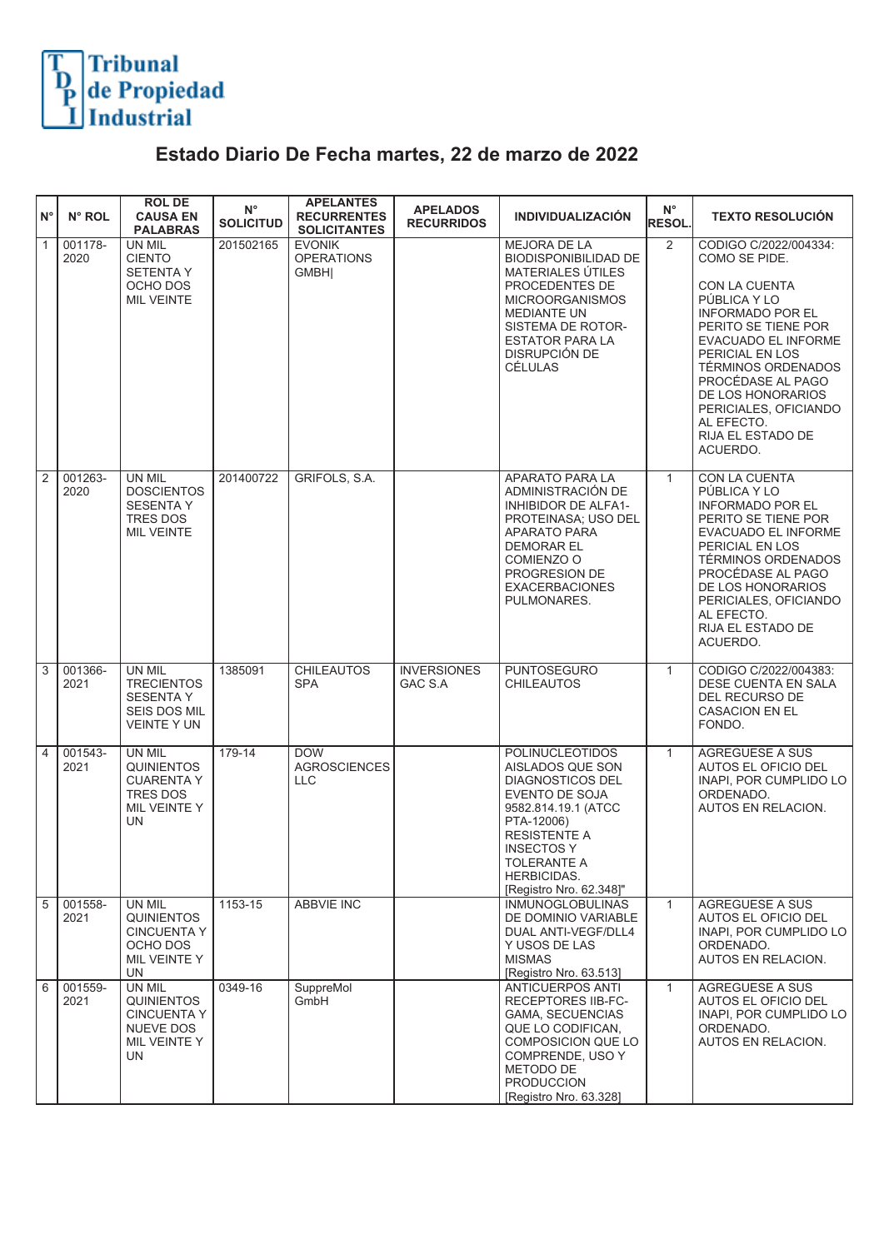

## **Estado Diario De Fecha martes, 22 de marzo de 2022**

| ١N°            | N° ROL          | <b>ROLDE</b><br><b>CAUSA EN</b><br><b>PALABRAS</b>                                         | $N^{\circ}$<br><b>SOLICITUD</b> | <b>APELANTES</b><br><b>RECURRENTES</b><br><b>SOLICITANTES</b> | <b>APELADOS</b><br><b>RECURRIDOS</b> | <b>INDIVIDUALIZACIÓN</b>                                                                                                                                                                                                          | $N^{\circ}$<br><b>RESOL.</b> | <b>TEXTO RESOLUCIÓN</b>                                                                                                                                                                                                                                                                                            |
|----------------|-----------------|--------------------------------------------------------------------------------------------|---------------------------------|---------------------------------------------------------------|--------------------------------------|-----------------------------------------------------------------------------------------------------------------------------------------------------------------------------------------------------------------------------------|------------------------------|--------------------------------------------------------------------------------------------------------------------------------------------------------------------------------------------------------------------------------------------------------------------------------------------------------------------|
| $\overline{1}$ | 001178-<br>2020 | UN MIL<br><b>CIENTO</b><br><b>SETENTAY</b><br>OCHO DOS<br><b>MIL VEINTE</b>                | 201502165                       | <b>EVONIK</b><br><b>OPERATIONS</b><br><b>GMBHI</b>            |                                      | MEJORA DE LA<br><b>BIODISPONIBILIDAD DE</b><br>MATERIALES ÚTILES<br>PROCEDENTES DE<br><b>MICROORGANISMOS</b><br><b>MEDIANTE UN</b><br>SISTEMA DE ROTOR-<br><b>ESTATOR PARA LA</b><br><b>DISRUPCIÓN DE</b><br>CÉLULAS              | 2                            | CODIGO C/2022/004334:<br>COMO SE PIDE.<br>CON LA CUENTA<br>PÚBLICA Y LO<br><b>INFORMADO POR EL</b><br>PERITO SE TIENE POR<br>EVACUADO EL INFORME<br>PERICIAL EN LOS<br><b>TÉRMINOS ORDENADOS</b><br>PROCÉDASE AL PAGO<br>DE LOS HONORARIOS<br>PERICIALES, OFICIANDO<br>AL EFECTO.<br>RIJA EL ESTADO DE<br>ACUERDO. |
| $\overline{2}$ | 001263-<br>2020 | UN MIL<br><b>DOSCIENTOS</b><br><b>SESENTA Y</b><br>TRES DOS<br><b>MIL VEINTE</b>           | 201400722                       | GRIFOLS, S.A.                                                 |                                      | APARATO PARA LA<br>ADMINISTRACIÓN DE<br><b>INHIBIDOR DE ALFA1-</b><br>PROTEINASA; USO DEL<br>APARATO PARA<br><b>DEMORAR EL</b><br>COMIENZO O<br>PROGRESION DE<br><b>EXACERBACIONES</b><br>PULMONARES.                             | $\mathbf{1}$                 | CON LA CUENTA<br>PÚBLICA Y LO<br><b>INFORMADO POR EL</b><br>PERITO SE TIENE POR<br>EVACUADO EL INFORME<br>PERICIAL EN LOS<br>TÉRMINOS ORDENADOS<br>PROCÉDASE AL PAGO<br>DE LOS HONORARIOS<br>PERICIALES, OFICIANDO<br>AL EFECTO.<br>RIJA EL ESTADO DE<br>ACUERDO.                                                  |
| $\overline{3}$ | 001366-<br>2021 | UN MIL<br><b>TRECIENTOS</b><br><b>SESENTA Y</b><br>SEIS DOS MIL<br><b>VEINTE Y UN</b>      | 1385091                         | <b>CHILEAUTOS</b><br><b>SPA</b>                               | <b>INVERSIONES</b><br>GAC S.A        | <b>PUNTOSEGURO</b><br><b>CHILEAUTOS</b>                                                                                                                                                                                           | $\mathbf{1}$                 | CODIGO C/2022/004383:<br>DESE CUENTA EN SALA<br>DEL RECURSO DE<br>CASACION EN EL<br>FONDO.                                                                                                                                                                                                                         |
| $\overline{4}$ | 001543-<br>2021 | <b>UN MIL</b><br><b>QUINIENTOS</b><br><b>CUARENTA Y</b><br>TRES DOS<br>MIL VEINTE Y<br>UN  | $179-14$                        | <b>DOW</b><br><b>AGROSCIENCES</b><br><b>LLC</b>               |                                      | <b>POLINUCLEOTIDOS</b><br>AISLADOS QUE SON<br><b>DIAGNOSTICOS DEL</b><br>EVENTO DE SOJA<br>9582.814.19.1 (ATCC<br>PTA-12006)<br><b>RESISTENTE A</b><br><b>INSECTOS Y</b><br>TOLERANTE A<br>HERBICIDAS.<br>[Registro Nro. 62.348]" | $\mathbf{1}$                 | <b>AGREGUESE A SUS</b><br>AUTOS EL OFICIO DEL<br>INAPI. POR CUMPLIDO LO<br>ORDENADO.<br>AUTOS EN RELACION.                                                                                                                                                                                                         |
| $\overline{5}$ | 001558-<br>2021 | UN MIL<br><b>QUINIENTOS</b><br><b>CINCUENTA Y</b><br>OCHO DOS<br>MIL VEINTE Y<br><b>UN</b> | 1153-15                         | <b>ABBVIE INC</b>                                             |                                      | <b>INMUNOGLOBULINAS</b><br>DE DOMINIO VARIABLE<br>DUAL ANTI-VEGF/DLL4<br>Y USOS DE LAS<br><b>MISMAS</b><br>[Registro Nro. 63.513]                                                                                                 | $\mathbf{1}$                 | <b>AGREGUESE A SUS</b><br>AUTOS EL OFICIO DEL<br>INAPI, POR CUMPLIDO LO<br>ORDENADO.<br>AUTOS EN RELACION.                                                                                                                                                                                                         |
| $\overline{6}$ | 001559-<br>2021 | UN MIL<br><b>QUINIENTOS</b><br>CINCUENTA Y<br>NUEVE DOS<br>MIL VEINTE Y<br>UN              | 0349-16                         | SuppreMol<br>GmbH                                             |                                      | <b>ANTICUERPOS ANTI</b><br><b>RECEPTORES IIB-FC-</b><br>GAMA. SECUENCIAS<br>QUE LO CODIFICAN,<br><b>COMPOSICION QUE LO</b><br>COMPRENDE, USO Y<br>METODO DE<br><b>PRODUCCION</b><br>[Registro Nro. 63.328]                        | $\mathbf{1}$                 | AGREGUESE A SUS<br>AUTOS EL OFICIO DEL<br>INAPI, POR CUMPLIDO LO<br>ORDENADO.<br>AUTOS EN RELACION.                                                                                                                                                                                                                |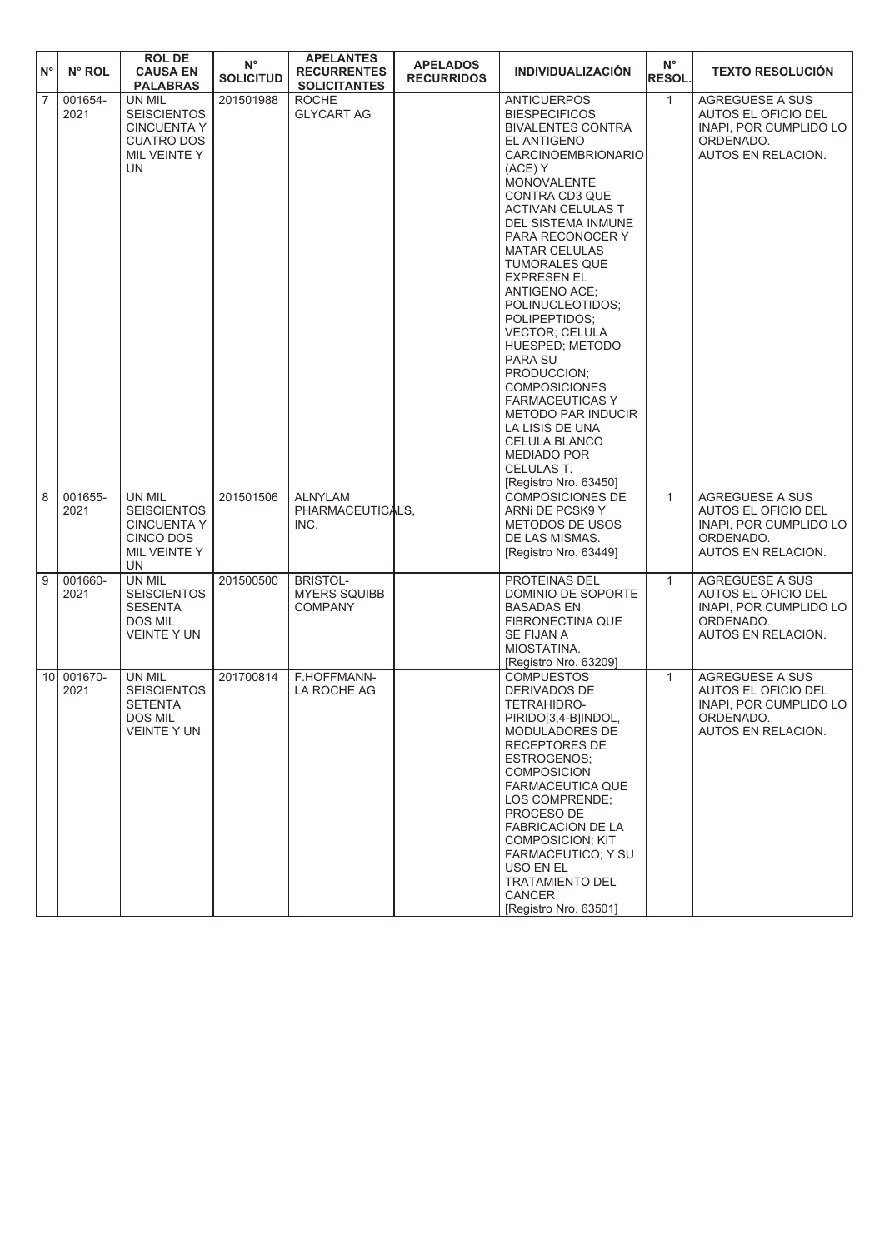| $N^{\circ}$    | N° ROL                             | <b>ROLDE</b><br><b>CAUSA EN</b><br><b>PALABRAS</b>                                             | $N^{\circ}$<br><b>SOLICITUD</b> | <b>APELANTES</b><br><b>RECURRENTES</b><br><b>SOLICITANTES</b> | <b>APELADOS</b><br><b>RECURRIDOS</b> | <b>INDIVIDUALIZACIÓN</b>                                                                                                                                                                                                                                                                                                                                                                                                                                                                                                                                                                                               | $N^{\circ}$<br><b>RESOL.</b> | <b>TEXTO RESOLUCIÓN</b>                                                                                    |
|----------------|------------------------------------|------------------------------------------------------------------------------------------------|---------------------------------|---------------------------------------------------------------|--------------------------------------|------------------------------------------------------------------------------------------------------------------------------------------------------------------------------------------------------------------------------------------------------------------------------------------------------------------------------------------------------------------------------------------------------------------------------------------------------------------------------------------------------------------------------------------------------------------------------------------------------------------------|------------------------------|------------------------------------------------------------------------------------------------------------|
| $\overline{7}$ | 001654-<br>2021                    | UN MIL<br><b>SEISCIENTOS</b><br><b>CINCUENTA Y</b><br><b>CUATRO DOS</b><br>MIL VEINTE Y<br>UN. | 201501988                       | <b>ROCHE</b><br><b>GLYCART AG</b>                             |                                      | <b>ANTICUERPOS</b><br><b>BIESPECIFICOS</b><br><b>BIVALENTES CONTRA</b><br>EL ANTIGENO<br><b>CARCINOEMBRIONARIO</b><br>(ACE) Y<br>MONOVALENTE<br>CONTRA CD3 QUE<br><b>ACTIVAN CELULAS T</b><br>DEL SISTEMA INMUNE<br>PARA RECONOCER Y<br><b>MATAR CELULAS</b><br><b>TUMORALES QUE</b><br><b>EXPRESEN EL</b><br>ANTIGENO ACE;<br>POLINUCLEOTIDOS;<br>POLIPEPTIDOS;<br><b>VECTOR: CELULA</b><br>HUESPED; METODO<br>PARA SU<br>PRODUCCION;<br><b>COMPOSICIONES</b><br><b>FARMACEUTICAS Y</b><br><b>METODO PAR INDUCIR</b><br>LA LISIS DE UNA<br>CELULA BLANCO<br><b>MEDIADO POR</b><br>CELULAS T.<br>[Registro Nro. 63450] | $\mathbf{1}$                 | <b>AGREGUESE A SUS</b><br>AUTOS EL OFICIO DEL<br>INAPI, POR CUMPLIDO LO<br>ORDENADO.<br>AUTOS EN RELACION. |
| 8              | 001655-<br>2021                    | UN MIL<br><b>SEISCIENTOS</b><br><b>CINCUENTA Y</b><br>CINCO DOS<br>MIL VEINTE Y<br>UN.         | 201501506                       | <b>ALNYLAM</b><br>PHARMACEUTICALS,<br>INC.                    |                                      | <b>COMPOSICIONES DE</b><br>ARNI DE PCSK9 Y<br>METODOS DE USOS<br>DE LAS MISMAS.<br>[Registro Nro. 63449]                                                                                                                                                                                                                                                                                                                                                                                                                                                                                                               | $\mathbf{1}$                 | <b>AGREGUESE A SUS</b><br>AUTOS EL OFICIO DEL<br>INAPI, POR CUMPLIDO LO<br>ORDENADO.<br>AUTOS EN RELACION. |
| 9              | 001660-<br>2021                    | UN MIL<br><b>SEISCIENTOS</b><br><b>SESENTA</b><br><b>DOS MIL</b><br><b>VEINTE Y UN</b>         | 201500500                       | <b>BRISTOL-</b><br><b>MYERS SQUIBB</b><br><b>COMPANY</b>      |                                      | PROTEINAS DEL<br>DOMINIO DE SOPORTE<br><b>BASADAS EN</b><br>FIBRONECTINA QUE<br>SE FIJAN A<br>MIOSTATINA.<br>[Registro Nro. 63209]                                                                                                                                                                                                                                                                                                                                                                                                                                                                                     | $\mathbf{1}$                 | <b>AGREGUESE A SUS</b><br>AUTOS EL OFICIO DEL<br>INAPI, POR CUMPLIDO LO<br>ORDENADO.<br>AUTOS EN RELACION. |
|                | 001670-<br>10 <sup>1</sup><br>2021 | UN MIL<br><b>SEISCIENTOS</b><br><b>SETENTA</b><br>DOS MIL<br>VEINTE Y UN                       | 201700814                       | F.HOFFMANN-<br>LA ROCHE AG                                    |                                      | <b>COMPUESTOS</b><br>DERIVADOS DE<br>TETRAHIDRO-<br>PIRIDO[3,4-B]INDOL,<br>MODULADORES DE<br>RECEPTORES DE<br>ESTROGENOS;<br><b>COMPOSICION</b><br><b>FARMACEUTICA QUE</b><br>LOS COMPRENDE;<br>PROCESO DE<br><b>FABRICACION DE LA</b><br><b>COMPOSICION; KIT</b><br>FARMACEUTICO; Y SU<br>USO EN EL<br><b>TRATAMIENTO DEL</b><br>CANCER<br>[Registro Nro. 63501]                                                                                                                                                                                                                                                      | $\mathbf{1}$                 | <b>AGREGUESE A SUS</b><br>AUTOS EL OFICIO DEL<br>INAPI, POR CUMPLIDO LO<br>ORDENADO.<br>AUTOS EN RELACION. |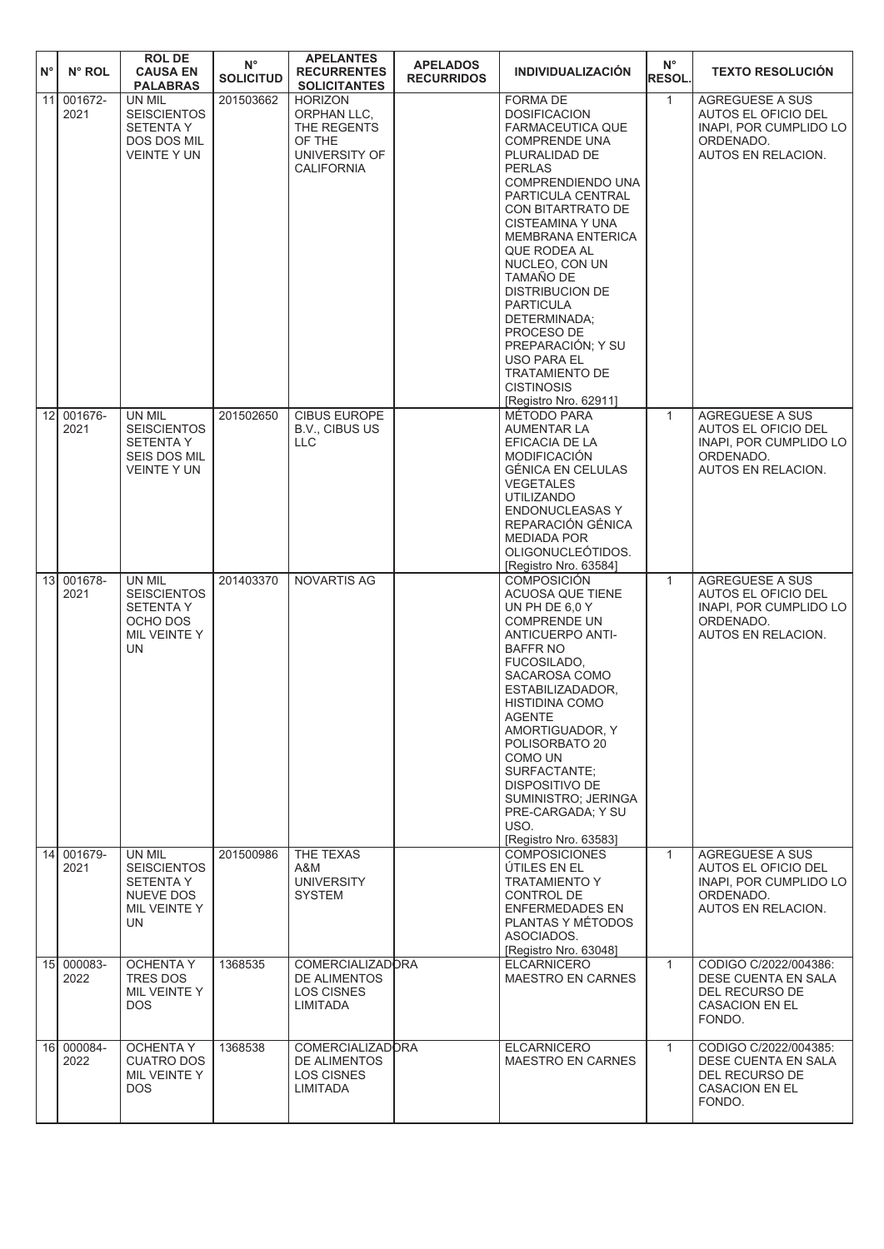| $N^{\circ}$ | N° ROL             | <b>ROLDE</b><br><b>CAUSA EN</b><br><b>PALABRAS</b>                                            | $N^{\circ}$<br><b>SOLICITUD</b> | <b>APELANTES</b><br><b>RECURRENTES</b><br><b>SOLICITANTES</b>                                | <b>APELADOS</b><br><b>RECURRIDOS</b> | <b>INDIVIDUALIZACIÓN</b>                                                                                                                                                                                                                                                                                                                                                                                                                                                                       | $N^{\circ}$<br><b>RESOL.</b> | <b>TEXTO RESOLUCIÓN</b>                                                                                           |
|-------------|--------------------|-----------------------------------------------------------------------------------------------|---------------------------------|----------------------------------------------------------------------------------------------|--------------------------------------|------------------------------------------------------------------------------------------------------------------------------------------------------------------------------------------------------------------------------------------------------------------------------------------------------------------------------------------------------------------------------------------------------------------------------------------------------------------------------------------------|------------------------------|-------------------------------------------------------------------------------------------------------------------|
| 11          | 001672-<br>2021    | UN MIL<br><b>SEISCIENTOS</b><br><b>SETENTA Y</b><br>DOS DOS MIL<br><b>VEINTE Y UN</b>         | 201503662                       | <b>HORIZON</b><br>ORPHAN LLC,<br>THE REGENTS<br>OF THE<br>UNIVERSITY OF<br><b>CALIFORNIA</b> |                                      | <b>FORMA DE</b><br><b>DOSIFICACION</b><br><b>FARMACEUTICA QUE</b><br><b>COMPRENDE UNA</b><br>PLURALIDAD DE<br><b>PERLAS</b><br>COMPRENDIENDO UNA<br>PARTICULA CENTRAL<br>CON BITARTRATO DE<br>CISTEAMINA Y UNA<br><b>MEMBRANA ENTERICA</b><br>QUE RODEA AL<br>NUCLEO, CON UN<br><b>TAMAÑO DE</b><br><b>DISTRIBUCION DE</b><br><b>PARTICULA</b><br>DETERMINADA;<br>PROCESO DE<br>PREPARACIÓN; Y SU<br><b>USO PARA EL</b><br><b>TRATAMIENTO DE</b><br><b>CISTINOSIS</b><br>[Registro Nro. 62911] | $\mathbf{1}$                 | <b>AGREGUESE A SUS</b><br>AUTOS EL OFICIO DEL<br>INAPI, POR CUMPLIDO LO<br>ORDENADO.<br>AUTOS EN RELACION.        |
|             | 12 001676-<br>2021 | UN MIL<br><b>SEISCIENTOS</b><br><b>SETENTA Y</b><br><b>SEIS DOS MIL</b><br><b>VEINTE Y UN</b> | 201502650                       | <b>CIBUS EUROPE</b><br>B.V., CIBUS US<br><b>LLC</b>                                          |                                      | MÉTODO PARA<br>AUMENTAR LA<br>EFICACIA DE LA<br><b>MODIFICACIÓN</b><br><b>GÉNICA EN CELULAS</b><br><b>VEGETALES</b><br><b>UTILIZANDO</b><br><b>ENDONUCLEASAS Y</b><br>REPARACIÓN GÉNICA<br><b>MEDIADA POR</b><br>OLIGONUCLEOTIDOS.<br>[Registro Nro. 63584]                                                                                                                                                                                                                                    | $\mathbf{1}$                 | <b>AGREGUESE A SUS</b><br>AUTOS EL OFICIO DEL<br>INAPI, POR CUMPLIDO LO<br>ORDENADO.<br>AUTOS EN RELACION.        |
|             | 13 001678-<br>2021 | UN MIL<br><b>SEISCIENTOS</b><br><b>SETENTAY</b><br>OCHO DOS<br>MIL VEINTE Y<br>UN             | 201403370                       | <b>NOVARTIS AG</b>                                                                           |                                      | <b>COMPOSICIÓN</b><br>ACUOSA QUE TIENE<br>UN PH DE 6,0 Y<br><b>COMPRENDE UN</b><br><b>ANTICUERPO ANTI-</b><br><b>BAFFR NO</b><br>FUCOSILADO,<br>SACAROSA COMO<br>ESTABILIZADADOR,<br><b>HISTIDINA COMO</b><br><b>AGENTE</b><br>AMORTIGUADOR, Y<br>POLISORBATO 20<br>COMO UN<br>SURFACTANTE:<br>DISPOSITIVO DE<br>SUMINISTRO; JERINGA<br>PRE-CARGADA; Y SU<br>USO.<br>[Registro Nro. 63583]                                                                                                     | $\mathbf{1}$                 | <b>AGREGUESE A SUS</b><br>AUTOS EL OFICIO DEL<br>INAPI, POR CUMPLIDO LO<br>ORDENADO.<br>AUTOS EN RELACION.        |
|             | 14 001679-<br>2021 | UN MIL<br><b>SEISCIENTOS</b><br><b>SETENTA Y</b><br><b>NUEVE DOS</b><br>MIL VEINTE Y<br>UN    | 201500986                       | THE TEXAS<br>A&M<br><b>UNIVERSITY</b><br><b>SYSTEM</b>                                       |                                      | <b>COMPOSICIONES</b><br>ÚTILES EN EL<br><b>TRATAMIENTO Y</b><br>CONTROL DE<br><b>ENFERMEDADES EN</b><br>PLANTAS Y MÉTODOS<br>ASOCIADOS.<br>[Registro Nro. 63048]                                                                                                                                                                                                                                                                                                                               | $\mathbf{1}$                 | <b>AGREGUESE A SUS</b><br><b>AUTOS EL OFICIO DEL</b><br>INAPI, POR CUMPLIDO LO<br>ORDENADO.<br>AUTOS EN RELACION. |
|             | 15 000083-<br>2022 | <b>OCHENTA Y</b><br>TRES DOS<br>MIL VEINTE Y<br>DOS.                                          | 1368535                         | <b>COMERCIALIZADORA</b><br>DE ALIMENTOS<br><b>LOS CISNES</b><br>LIMITADA                     |                                      | <b>ELCARNICERO</b><br><b>MAESTRO EN CARNES</b>                                                                                                                                                                                                                                                                                                                                                                                                                                                 | $\mathbf{1}$                 | CODIGO C/2022/004386:<br>DESE CUENTA EN SALA<br>DEL RECURSO DE<br><b>CASACION EN EL</b><br>FONDO.                 |
|             | 16 000084-<br>2022 | <b>OCHENTA Y</b><br><b>CUATRO DOS</b><br>MIL VEINTE Y<br><b>DOS</b>                           | 1368538                         | <b>COMERCIALIZADORA</b><br>DE ALIMENTOS<br><b>LOS CISNES</b><br>LIMITADA                     |                                      | <b>ELCARNICERO</b><br><b>MAESTRO EN CARNES</b>                                                                                                                                                                                                                                                                                                                                                                                                                                                 | $\mathbf{1}$                 | CODIGO C/2022/004385:<br>DESE CUENTA EN SALA<br>DEL RECURSO DE<br><b>CASACION EN EL</b><br>FONDO.                 |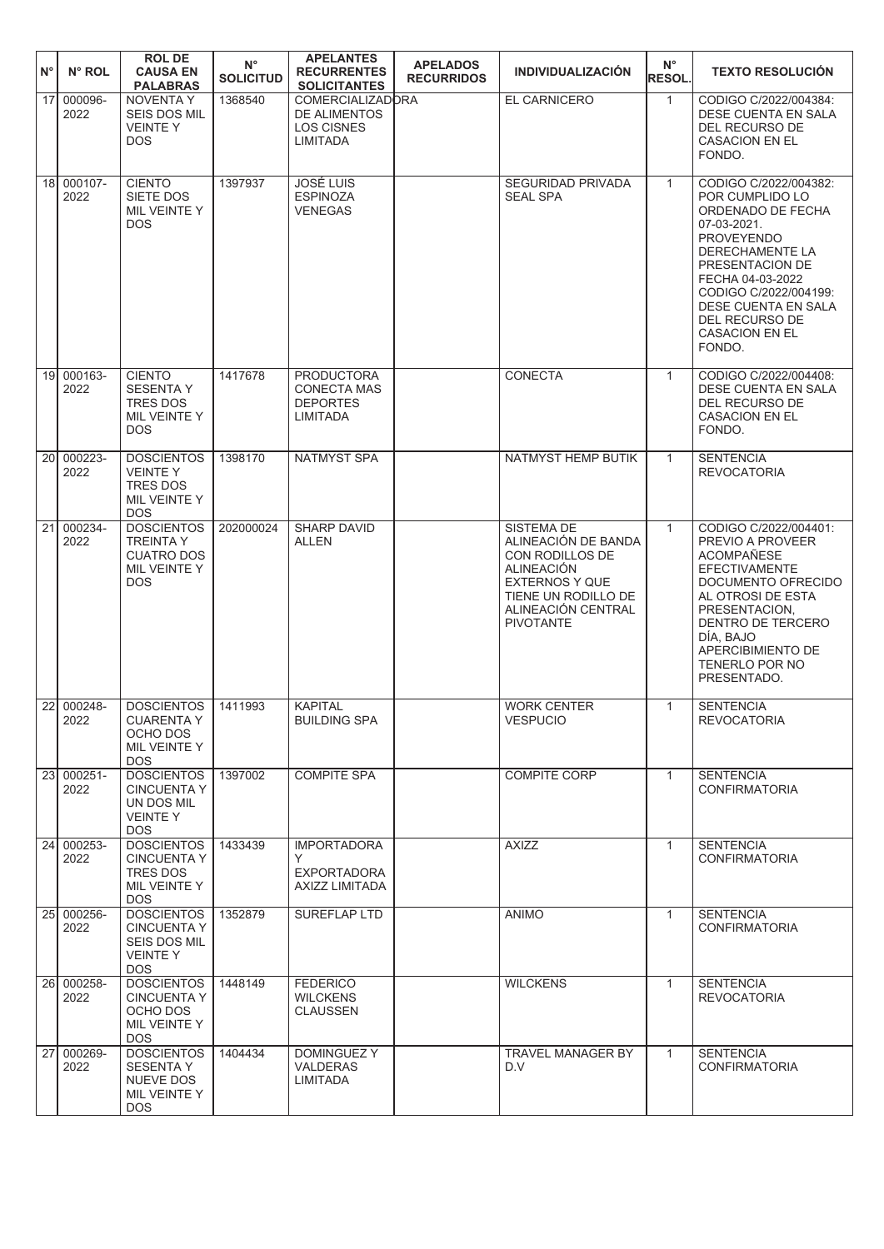| $N^{\circ}$     | N° ROL                | <b>ROL DE</b><br><b>CAUSA EN</b><br><b>PALABRAS</b>                                      | $N^{\circ}$<br><b>SOLICITUD</b> | <b>APELANTES</b><br><b>RECURRENTES</b><br><b>SOLICITANTES</b>                          | <b>APELADOS</b><br><b>RECURRIDOS</b> | <b>INDIVIDUALIZACIÓN</b>                                                                                                                                                   | $N^{\circ}$<br><b>RESOL</b> | <b>TEXTO RESOLUCIÓN</b>                                                                                                                                                                                                                                                 |
|-----------------|-----------------------|------------------------------------------------------------------------------------------|---------------------------------|----------------------------------------------------------------------------------------|--------------------------------------|----------------------------------------------------------------------------------------------------------------------------------------------------------------------------|-----------------------------|-------------------------------------------------------------------------------------------------------------------------------------------------------------------------------------------------------------------------------------------------------------------------|
| 17              | 000096-<br>2022       | NOVENTA Y<br><b>SEIS DOS MIL</b><br><b>VEINTEY</b><br><b>DOS</b>                         | 1368540                         | <b>COMERCIALIZADORA</b><br><b>DE ALIMENTOS</b><br><b>LOS CISNES</b><br><b>LIMITADA</b> |                                      | <b>EL CARNICERO</b>                                                                                                                                                        | $\mathbf{1}$                | CODIGO C/2022/004384:<br>DESE CUENTA EN SALA<br>DEL RECURSO DE<br><b>CASACION EN EL</b><br>FONDO.                                                                                                                                                                       |
|                 | 18 000107-<br>2022    | <b>CIENTO</b><br>SIETE DOS<br>MIL VEINTE Y<br><b>DOS</b>                                 | 1397937                         | <b>JOSÉ LUIS</b><br><b>ESPINOZA</b><br><b>VENEGAS</b>                                  |                                      | <b>SEGURIDAD PRIVADA</b><br><b>SEAL SPA</b>                                                                                                                                | $\mathbf{1}$                | CODIGO C/2022/004382:<br>POR CUMPLIDO LO<br>ORDENADO DE FECHA<br>07-03-2021.<br><b>PROVEYENDO</b><br><b>DERECHAMENTE LA</b><br>PRESENTACION DE<br>FECHA 04-03-2022<br>CODIGO C/2022/004199:<br>DESE CUENTA EN SALA<br>DEL RECURSO DE<br><b>CASACION EN EL</b><br>FONDO. |
| 19 <sup>1</sup> | 000163-<br>2022       | <b>CIENTO</b><br><b>SESENTAY</b><br><b>TRES DOS</b><br>MIL VEINTE Y<br><b>DOS</b>        | 1417678                         | <b>PRODUCTORA</b><br><b>CONECTA MAS</b><br><b>DEPORTES</b><br>LIMITADA                 |                                      | <b>CONECTA</b>                                                                                                                                                             | $\mathbf{1}$                | CODIGO C/2022/004408:<br>DESE CUENTA EN SALA<br>DEL RECURSO DE<br><b>CASACION EN EL</b><br>FONDO.                                                                                                                                                                       |
|                 | 20 000223-<br>2022    | <b>DOSCIENTOS</b><br><b>VEINTEY</b><br><b>TRES DOS</b><br>MIL VEINTE Y<br><b>DOS</b>     | 1398170                         | <b>NATMYST SPA</b>                                                                     |                                      | NATMYST HEMP BUTIK                                                                                                                                                         | $\mathbf{1}$                | <b>SENTENCIA</b><br><b>REVOCATORIA</b>                                                                                                                                                                                                                                  |
| 21              | 000234-<br>2022       | <b>DOSCIENTOS</b><br><b>TREINTA Y</b><br><b>CUATRO DOS</b><br>MIL VEINTE Y<br><b>DOS</b> | 202000024                       | <b>SHARP DAVID</b><br><b>ALLEN</b>                                                     |                                      | <b>SISTEMA DE</b><br>ALINEACIÓN DE BANDA<br>CON RODILLOS DE<br><b>ALINEACIÓN</b><br><b>EXTERNOS Y QUE</b><br>TIENE UN RODILLO DE<br>ALINEACIÓN CENTRAL<br><b>PIVOTANTE</b> | $\mathbf{1}$                | CODIGO C/2022/004401:<br>PREVIO A PROVEER<br><b>ACOMPAÑESE</b><br><b>EFECTIVAMENTE</b><br>DOCUMENTO OFRECIDO<br>AL OTROSI DE ESTA<br>PRESENTACION.<br>DENTRO DE TERCERO<br>DÍA, BAJO<br>APERCIBIMIENTO DE<br>TENERLO POR NO<br>PRESENTADO.                              |
|                 | 22 000248-<br>2022    | <b>DOSCIENTOS</b><br><b>CUARENTA Y</b><br>OCHO DOS<br>MIL VEINTE Y<br><b>DOS</b>         | 1411993                         | <b>KAPITAL</b><br><b>BUILDING SPA</b>                                                  |                                      | <b>WORK CENTER</b><br><b>VESPUCIO</b>                                                                                                                                      | $\mathbf{1}$                | <b>SENTENCIA</b><br><b>REVOCATORIA</b>                                                                                                                                                                                                                                  |
|                 | 23 000251-<br>2022    | <b>DOSCIENTOS</b><br><b>CINCUENTA Y</b><br>UN DOS MIL<br><b>VEINTEY</b><br><b>DOS</b>    | 1397002                         | <b>COMPITE SPA</b>                                                                     |                                      | <b>COMPITE CORP</b>                                                                                                                                                        | $\mathbf{1}$                | <b>SENTENCIA</b><br><b>CONFIRMATORIA</b>                                                                                                                                                                                                                                |
|                 | $24 000253 -$<br>2022 | <b>DOSCIENTOS</b><br><b>CINCUENTA Y</b><br>TRES DOS<br>MIL VEINTE Y<br><b>DOS</b>        | 1433439                         | <b>IMPORTADORA</b><br>Υ<br><b>EXPORTADORA</b><br>AXIZZ LIMITADA                        |                                      | <b>AXIZZ</b>                                                                                                                                                               | $\mathbf{1}$                | <b>SENTENCIA</b><br><b>CONFIRMATORIA</b>                                                                                                                                                                                                                                |
|                 | 25 000256-<br>2022    | <b>DOSCIENTOS</b><br><b>CINCUENTA Y</b><br>SEIS DOS MIL<br><b>VEINTEY</b><br><b>DOS</b>  | 1352879                         | SUREFLAP LTD                                                                           |                                      | <b>ANIMO</b>                                                                                                                                                               | $\mathbf{1}$                | <b>SENTENCIA</b><br><b>CONFIRMATORIA</b>                                                                                                                                                                                                                                |
|                 | 26 000258-<br>2022    | <b>DOSCIENTOS</b><br><b>CINCUENTA Y</b><br>OCHO DOS<br>MIL VEINTE Y<br><b>DOS</b>        | 1448149                         | <b>FEDERICO</b><br><b>WILCKENS</b><br><b>CLAUSSEN</b>                                  |                                      | <b>WILCKENS</b>                                                                                                                                                            | $\mathbf{1}$                | <b>SENTENCIA</b><br><b>REVOCATORIA</b>                                                                                                                                                                                                                                  |
|                 | 27 000269-<br>2022    | <b>DOSCIENTOS</b><br><b>SESENTA Y</b><br>NUEVE DOS<br>MIL VEINTE Y<br><b>DOS</b>         | 1404434                         | DOMINGUEZ Y<br><b>VALDERAS</b><br>LIMITADA                                             |                                      | <b>TRAVEL MANAGER BY</b><br>D.V                                                                                                                                            | $\mathbf{1}$                | <b>SENTENCIA</b><br><b>CONFIRMATORIA</b>                                                                                                                                                                                                                                |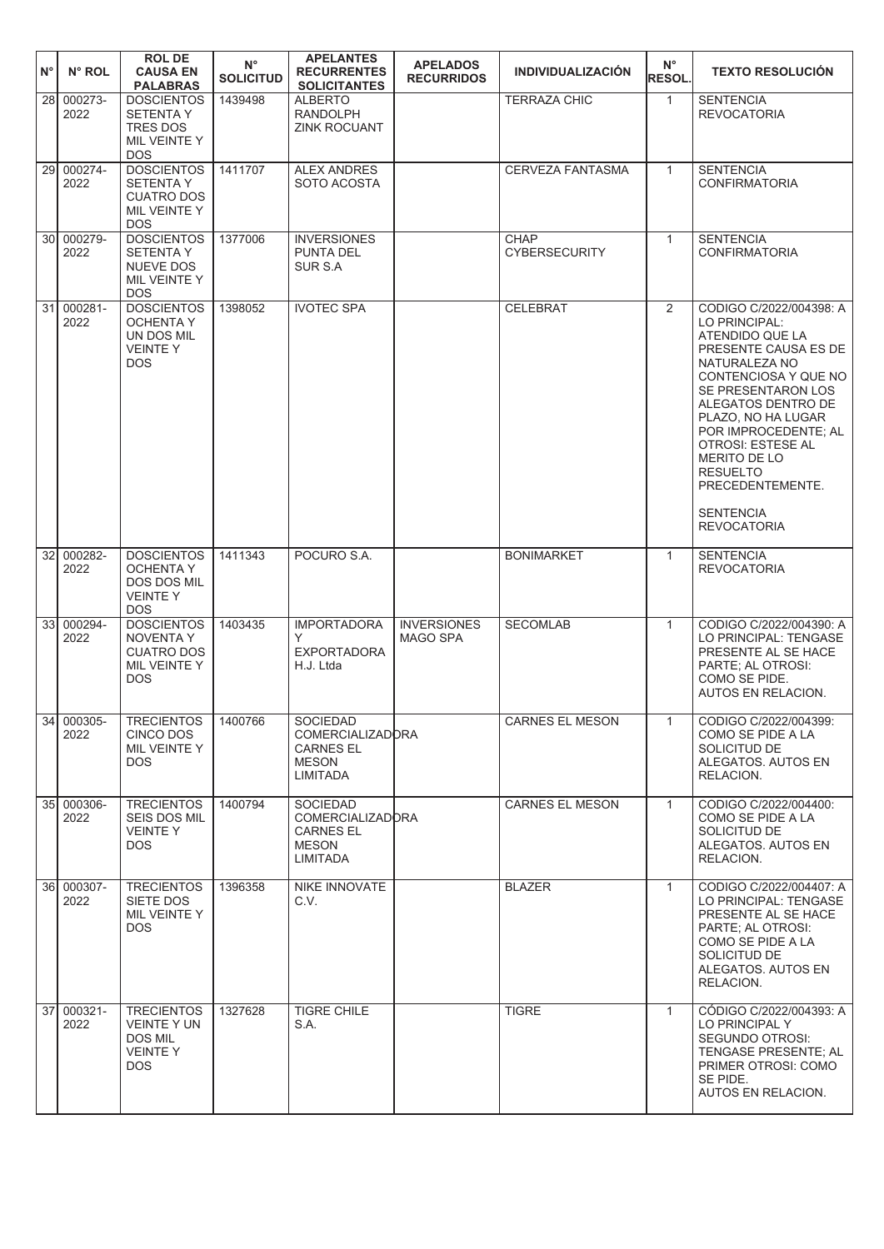|                    |                    | <b>ROL DE</b>                                                                            | $N^{\circ}$      | <b>APELANTES</b>                                                                           | <b>APELADOS</b>                       |                                     | $N^{\circ}$    |                                                                                                                                                                                                                                                                                                                                                     |
|--------------------|--------------------|------------------------------------------------------------------------------------------|------------------|--------------------------------------------------------------------------------------------|---------------------------------------|-------------------------------------|----------------|-----------------------------------------------------------------------------------------------------------------------------------------------------------------------------------------------------------------------------------------------------------------------------------------------------------------------------------------------------|
| $\mathsf{N}^\circ$ | $N^{\circ}$ ROL    | <b>CAUSA EN</b><br><b>PALABRAS</b>                                                       | <b>SOLICITUD</b> | <b>RECURRENTES</b><br><b>SOLICITANTES</b>                                                  | <b>RECURRIDOS</b>                     | <b>INDIVIDUALIZACIÓN</b>            | <b>RESOL.</b>  | <b>TEXTO RESOLUCIÓN</b>                                                                                                                                                                                                                                                                                                                             |
| 28                 | 000273-<br>2022    | <b>DOSCIENTOS</b><br><b>SETENTA Y</b><br><b>TRES DOS</b><br>MIL VEINTE Y<br><b>DOS</b>   | 1439498          | ALBERTO<br><b>RANDOLPH</b><br>ZINK ROCUANT                                                 |                                       | <b>TERRAZA CHIC</b>                 | $\mathbf{1}$   | <b>SENTENCIA</b><br><b>REVOCATORIA</b>                                                                                                                                                                                                                                                                                                              |
| 29 l               | 000274-<br>2022    | <b>DOSCIENTOS</b><br><b>SETENTA Y</b><br><b>CUATRO DOS</b><br>MIL VEINTE Y<br><b>DOS</b> | 1411707          | <b>ALEX ANDRES</b><br>SOTO ACOSTA                                                          |                                       | <b>CERVEZA FANTASMA</b>             | $\mathbf{1}$   | <b>SENTENCIA</b><br><b>CONFIRMATORIA</b>                                                                                                                                                                                                                                                                                                            |
|                    | 30 000279-<br>2022 | <b>DOSCIENTOS</b><br><b>SETENTA Y</b><br>NUEVE DOS<br>MIL VEINTE Y<br><b>DOS</b>         | 1377006          | <b>INVERSIONES</b><br>PUNTA DEL<br>SUR S.A                                                 |                                       | <b>CHAP</b><br><b>CYBERSECURITY</b> | $\mathbf{1}$   | <b>SENTENCIA</b><br><b>CONFIRMATORIA</b>                                                                                                                                                                                                                                                                                                            |
|                    | 31 000281-<br>2022 | <b>DOSCIENTOS</b><br><b>OCHENTA Y</b><br>UN DOS MIL<br><b>VEINTEY</b><br><b>DOS</b>      | 1398052          | <b>IVOTEC SPA</b>                                                                          |                                       | <b>CELEBRAT</b>                     | $\overline{2}$ | CODIGO C/2022/004398: A<br>LO PRINCIPAL:<br>ATENDIDO QUE LA<br>PRESENTE CAUSA ES DE<br>NATURALEZA NO<br>CONTENCIOSA Y QUE NO<br>SE PRESENTARON LOS<br>ALEGATOS DENTRO DE<br>PLAZO, NO HA LUGAR<br>POR IMPROCEDENTE; AL<br><b>OTROSI: ESTESE AL</b><br>MERITO DE LO<br><b>RESUELTO</b><br>PRECEDENTEMENTE.<br><b>SENTENCIA</b><br><b>REVOCATORIA</b> |
| 32                 | 000282-<br>2022    | <b>DOSCIENTOS</b><br><b>OCHENTA Y</b><br>DOS DOS MIL<br><b>VEINTEY</b><br><b>DOS</b>     | 1411343          | POCURO S.A.                                                                                |                                       | <b>BONIMARKET</b>                   | $\mathbf{1}$   | <b>SENTENCIA</b><br><b>REVOCATORIA</b>                                                                                                                                                                                                                                                                                                              |
| 33I                | 000294-<br>2022    | <b>DOSCIENTOS</b><br><b>NOVENTA Y</b><br><b>CUATRO DOS</b><br>MIL VEINTE Y<br><b>DOS</b> | 1403435          | <b>IMPORTADORA</b><br>Y<br><b>EXPORTADORA</b><br>H.J. Ltda                                 | <b>INVERSIONES</b><br><b>MAGO SPA</b> | <b>SECOMLAB</b>                     | $\mathbf{1}$   | CODIGO C/2022/004390: A<br>LO PRINCIPAL: TENGASE<br>PRESENTE AL SE HACE<br>PARTE; AL OTROSI:<br>COMO SE PIDE.<br>AUTOS EN RELACION.                                                                                                                                                                                                                 |
|                    | 34 000305-<br>2022 | <b>TRECIENTOS</b><br>CINCO DOS<br>MIL VEINTE Y<br>DOS.                                   | 1400766          | <b>SOCIEDAD</b><br><b>COMERCIALIZADORA</b><br><b>CARNES EL</b><br><b>MESON</b><br>LIMITADA |                                       | CARNES EL MESON                     | $\mathbf{1}$   | CODIGO C/2022/004399:<br>COMO SE PIDE A LA<br>SOLICITUD DE<br>ALEGATOS. AUTOS EN<br>RELACION.                                                                                                                                                                                                                                                       |
|                    | 35 000306-<br>2022 | <b>TRECIENTOS</b><br><b>SEIS DOS MIL</b><br><b>VEINTEY</b><br>DOS.                       | 1400794          | SOCIEDAD<br><b>COMERCIALIZADORA</b><br><b>CARNES EL</b><br><b>MESON</b><br>LIMITADA        |                                       | <b>CARNES EL MESON</b>              | $\mathbf{1}$   | CODIGO C/2022/004400:<br>COMO SE PIDE A LA<br>SOLICITUD DE<br>ALEGATOS. AUTOS EN<br>RELACION.                                                                                                                                                                                                                                                       |
|                    | 36 000307-<br>2022 | <b>TRECIENTOS</b><br>SIETE DOS<br>MIL VEINTE Y<br>DOS.                                   | 1396358          | NIKE INNOVATE<br>C.V.                                                                      |                                       | <b>BLAZER</b>                       | $\mathbf{1}$   | CODIGO C/2022/004407: A<br>LO PRINCIPAL: TENGASE<br>PRESENTE AL SE HACE<br>PARTE; AL OTROSI:<br>COMO SE PIDE A LA<br>SOLICITUD DE<br>ALEGATOS. AUTOS EN<br>RELACION.                                                                                                                                                                                |
|                    | 37 000321-<br>2022 | <b>TRECIENTOS</b><br><b>VEINTE Y UN</b><br>DOS MIL<br><b>VEINTEY</b><br>DOS.             | 1327628          | <b>TIGRE CHILE</b><br>S.A.                                                                 |                                       | <b>TIGRE</b>                        | $\mathbf{1}$   | CÓDIGO C/2022/004393: A<br>LO PRINCIPAL Y<br>SEGUNDO OTROSI:<br>TENGASE PRESENTE: AL<br>PRIMER OTROSI: COMO<br>SE PIDE.<br>AUTOS EN RELACION.                                                                                                                                                                                                       |